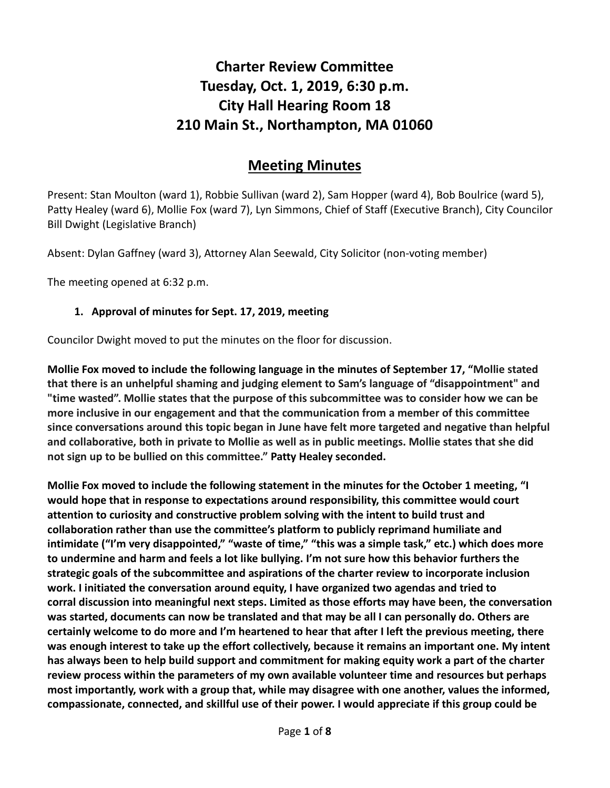# **Charter Review Committee Tuesday, Oct. 1, 2019, 6:30 p.m. City Hall Hearing Room 18 210 Main St., Northampton, MA 01060**

## **Meeting Minutes**

Present: Stan Moulton (ward 1), Robbie Sullivan (ward 2), Sam Hopper (ward 4), Bob Boulrice (ward 5), Patty Healey (ward 6), Mollie Fox (ward 7), Lyn Simmons, Chief of Staff (Executive Branch), City Councilor Bill Dwight (Legislative Branch)

Absent: Dylan Gaffney (ward 3), Attorney Alan Seewald, City Solicitor (non-voting member)

The meeting opened at 6:32 p.m.

#### **1. Approval of minutes for Sept. 17, 2019, meeting**

Councilor Dwight moved to put the minutes on the floor for discussion.

**Mollie Fox moved to include the following language in the minutes of September 17, "Mollie stated that there is an unhelpful shaming and judging element to Sam's language of "disappointment" and "time wasted". Mollie states that the purpose of this subcommittee was to consider how we can be more inclusive in our engagement and that the communication from a member of this committee since conversations around this topic began in June have felt more targeted and negative than helpful and collaborative, both in private to Mollie as well as in public meetings. Mollie states that she did not sign up to be bullied on this committee." Patty Healey seconded.** 

**Mollie Fox moved to include the following statement in the minutes for the October 1 meeting, "I would hope that in response to expectations around responsibility, this committee would court attention to curiosity and constructive problem solving with the intent to build trust and collaboration rather than use the committee's platform to publicly reprimand humiliate and intimidate ("I'm very disappointed," "waste of time," "this was a simple task," etc.) which does more to undermine and harm and feels a lot like bullying. I'm not sure how this behavior furthers the strategic goals of the subcommittee and aspirations of the charter review to incorporate inclusion work. I initiated the conversation around equity, I have organized two agendas and tried to corral discussion into meaningful next steps. Limited as those efforts may have been, the conversation was started, documents can now be translated and that may be all I can personally do. Others are certainly welcome to do more and I'm heartened to hear that after I left the previous meeting, there was enough interest to take up the effort collectively, because it remains an important one. My intent has always been to help build support and commitment for making equity work a part of the charter review process within the parameters of my own available volunteer time and resources but perhaps most importantly, work with a group that, while may disagree with one another, values the informed, compassionate, connected, and skillful use of their power. I would appreciate if this group could be**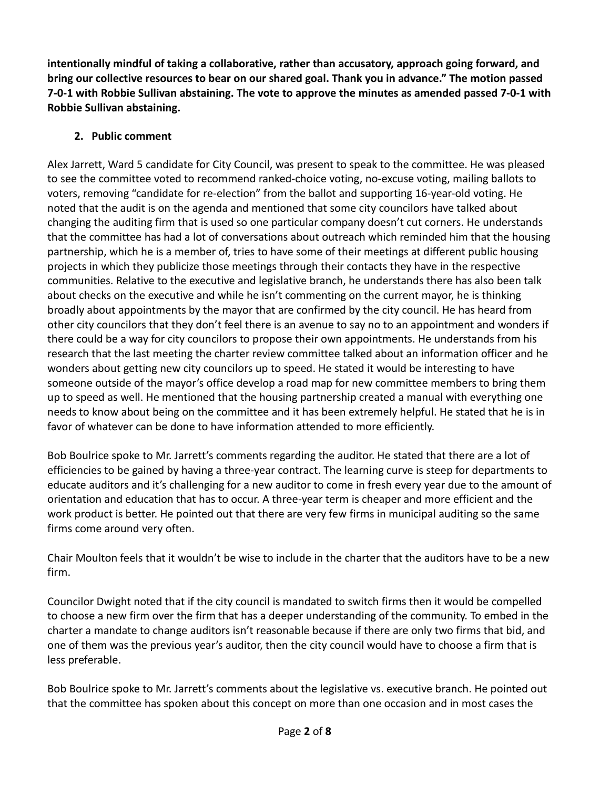**intentionally mindful of taking a collaborative, rather than accusatory, approach going forward, and bring our collective resources to bear on our shared goal. Thank you in advance." The motion passed 7-0-1 with Robbie Sullivan abstaining. The vote to approve the minutes as amended passed 7-0-1 with Robbie Sullivan abstaining.**

#### **2. Public comment**

Alex Jarrett, Ward 5 candidate for City Council, was present to speak to the committee. He was pleased to see the committee voted to recommend ranked-choice voting, no-excuse voting, mailing ballots to voters, removing "candidate for re-election" from the ballot and supporting 16-year-old voting. He noted that the audit is on the agenda and mentioned that some city councilors have talked about changing the auditing firm that is used so one particular company doesn't cut corners. He understands that the committee has had a lot of conversations about outreach which reminded him that the housing partnership, which he is a member of, tries to have some of their meetings at different public housing projects in which they publicize those meetings through their contacts they have in the respective communities. Relative to the executive and legislative branch, he understands there has also been talk about checks on the executive and while he isn't commenting on the current mayor, he is thinking broadly about appointments by the mayor that are confirmed by the city council. He has heard from other city councilors that they don't feel there is an avenue to say no to an appointment and wonders if there could be a way for city councilors to propose their own appointments. He understands from his research that the last meeting the charter review committee talked about an information officer and he wonders about getting new city councilors up to speed. He stated it would be interesting to have someone outside of the mayor's office develop a road map for new committee members to bring them up to speed as well. He mentioned that the housing partnership created a manual with everything one needs to know about being on the committee and it has been extremely helpful. He stated that he is in favor of whatever can be done to have information attended to more efficiently.

Bob Boulrice spoke to Mr. Jarrett's comments regarding the auditor. He stated that there are a lot of efficiencies to be gained by having a three-year contract. The learning curve is steep for departments to educate auditors and it's challenging for a new auditor to come in fresh every year due to the amount of orientation and education that has to occur. A three-year term is cheaper and more efficient and the work product is better. He pointed out that there are very few firms in municipal auditing so the same firms come around very often.

Chair Moulton feels that it wouldn't be wise to include in the charter that the auditors have to be a new firm.

Councilor Dwight noted that if the city council is mandated to switch firms then it would be compelled to choose a new firm over the firm that has a deeper understanding of the community. To embed in the charter a mandate to change auditors isn't reasonable because if there are only two firms that bid, and one of them was the previous year's auditor, then the city council would have to choose a firm that is less preferable.

Bob Boulrice spoke to Mr. Jarrett's comments about the legislative vs. executive branch. He pointed out that the committee has spoken about this concept on more than one occasion and in most cases the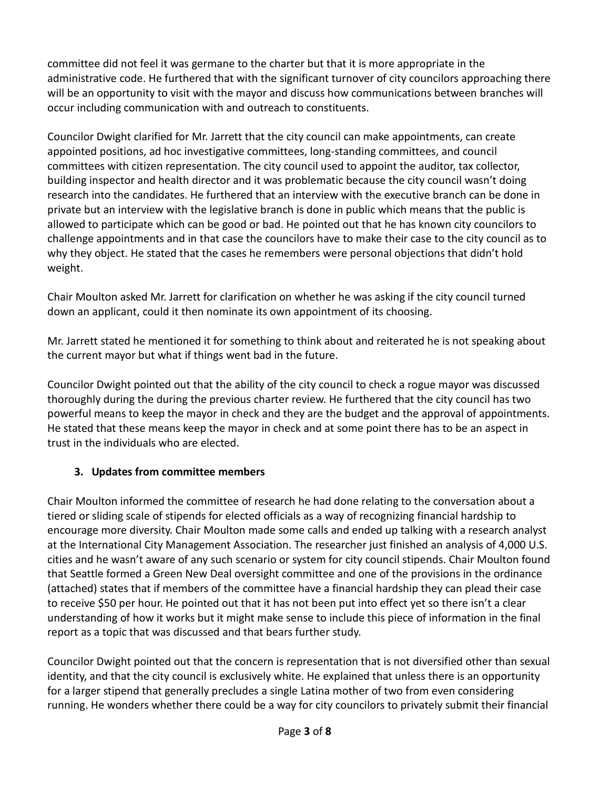committee did not feel it was germane to the charter but that it is more appropriate in the administrative code. He furthered that with the significant turnover of city councilors approaching there will be an opportunity to visit with the mayor and discuss how communications between branches will occur including communication with and outreach to constituents.

Councilor Dwight clarified for Mr. Jarrett that the city council can make appointments, can create appointed positions, ad hoc investigative committees, long-standing committees, and council committees with citizen representation. The city council used to appoint the auditor, tax collector, building inspector and health director and it was problematic because the city council wasn't doing research into the candidates. He furthered that an interview with the executive branch can be done in private but an interview with the legislative branch is done in public which means that the public is allowed to participate which can be good or bad. He pointed out that he has known city councilors to challenge appointments and in that case the councilors have to make their case to the city council as to why they object. He stated that the cases he remembers were personal objections that didn't hold weight.

Chair Moulton asked Mr. Jarrett for clarification on whether he was asking if the city council turned down an applicant, could it then nominate its own appointment of its choosing.

Mr. Jarrett stated he mentioned it for something to think about and reiterated he is not speaking about the current mayor but what if things went bad in the future.

Councilor Dwight pointed out that the ability of the city council to check a rogue mayor was discussed thoroughly during the during the previous charter review. He furthered that the city council has two powerful means to keep the mayor in check and they are the budget and the approval of appointments. He stated that these means keep the mayor in check and at some point there has to be an aspect in trust in the individuals who are elected.

#### **3. Updates from committee members**

Chair Moulton informed the committee of research he had done relating to the conversation about a tiered or sliding scale of stipends for elected officials as a way of recognizing financial hardship to encourage more diversity. Chair Moulton made some calls and ended up talking with a research analyst at the International City Management Association. The researcher just finished an analysis of 4,000 U.S. cities and he wasn't aware of any such scenario or system for city council stipends. Chair Moulton found that Seattle formed a Green New Deal oversight committee and one of the provisions in the ordinance (attached) states that if members of the committee have a financial hardship they can plead their case to receive \$50 per hour. He pointed out that it has not been put into effect yet so there isn't a clear understanding of how it works but it might make sense to include this piece of information in the final report as a topic that was discussed and that bears further study.

Councilor Dwight pointed out that the concern is representation that is not diversified other than sexual identity, and that the city council is exclusively white. He explained that unless there is an opportunity for a larger stipend that generally precludes a single Latina mother of two from even considering running. He wonders whether there could be a way for city councilors to privately submit their financial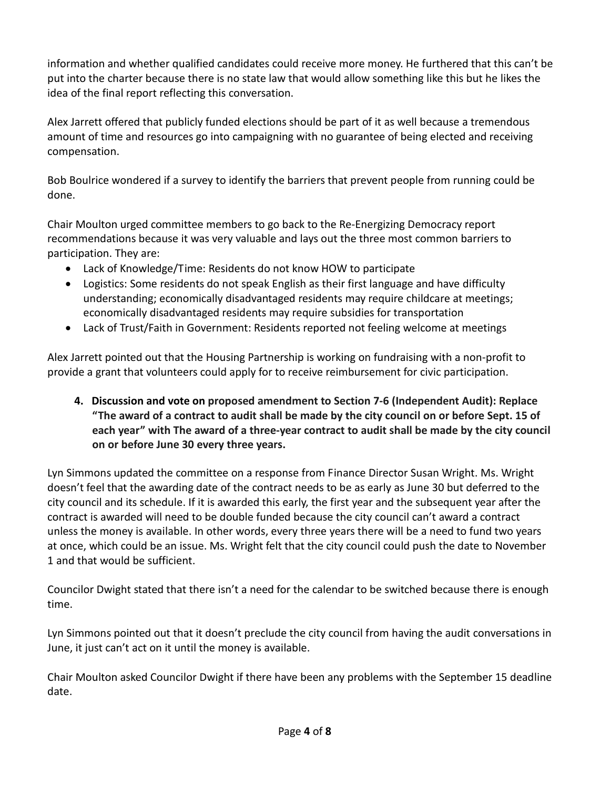information and whether qualified candidates could receive more money. He furthered that this can't be put into the charter because there is no state law that would allow something like this but he likes the idea of the final report reflecting this conversation.

Alex Jarrett offered that publicly funded elections should be part of it as well because a tremendous amount of time and resources go into campaigning with no guarantee of being elected and receiving compensation.

Bob Boulrice wondered if a survey to identify the barriers that prevent people from running could be done.

Chair Moulton urged committee members to go back to the Re-Energizing Democracy report recommendations because it was very valuable and lays out the three most common barriers to participation. They are:

- Lack of Knowledge/Time: Residents do not know HOW to participate
- Logistics: Some residents do not speak English as their first language and have difficulty understanding; economically disadvantaged residents may require childcare at meetings; economically disadvantaged residents may require subsidies for transportation
- Lack of Trust/Faith in Government: Residents reported not feeling welcome at meetings

Alex Jarrett pointed out that the Housing Partnership is working on fundraising with a non-profit to provide a grant that volunteers could apply for to receive reimbursement for civic participation.

**4. Discussion and vote on proposed amendment to Section 7-6 (Independent Audit): Replace "The award of a contract to audit shall be made by the city council on or before Sept. 15 of each year" with The award of a three-year contract to audit shall be made by the city council on or before June 30 every three years.** 

Lyn Simmons updated the committee on a response from Finance Director Susan Wright. Ms. Wright doesn't feel that the awarding date of the contract needs to be as early as June 30 but deferred to the city council and its schedule. If it is awarded this early, the first year and the subsequent year after the contract is awarded will need to be double funded because the city council can't award a contract unless the money is available. In other words, every three years there will be a need to fund two years at once, which could be an issue. Ms. Wright felt that the city council could push the date to November 1 and that would be sufficient.

Councilor Dwight stated that there isn't a need for the calendar to be switched because there is enough time.

Lyn Simmons pointed out that it doesn't preclude the city council from having the audit conversations in June, it just can't act on it until the money is available.

Chair Moulton asked Councilor Dwight if there have been any problems with the September 15 deadline date.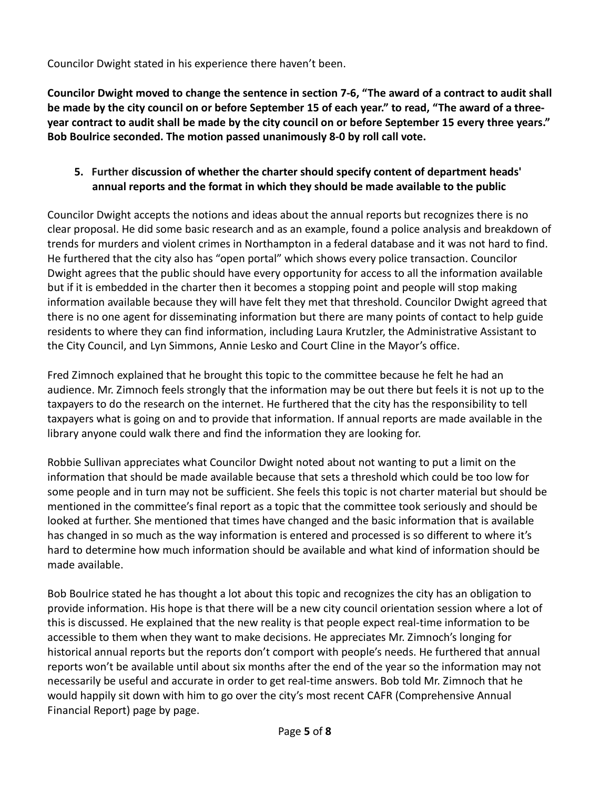Councilor Dwight stated in his experience there haven't been.

**Councilor Dwight moved to change the sentence in section 7-6, "The award of a contract to audit shall be made by the city council on or before September 15 of each year." to read, "The award of a threeyear contract to audit shall be made by the city council on or before September 15 every three years." Bob Boulrice seconded. The motion passed unanimously 8-0 by roll call vote.**

#### **5. Further discussion of whether the charter should specify content of department heads' annual reports and the format in which they should be made available to the public**

Councilor Dwight accepts the notions and ideas about the annual reports but recognizes there is no clear proposal. He did some basic research and as an example, found a police analysis and breakdown of trends for murders and violent crimes in Northampton in a federal database and it was not hard to find. He furthered that the city also has "open portal" which shows every police transaction. Councilor Dwight agrees that the public should have every opportunity for access to all the information available but if it is embedded in the charter then it becomes a stopping point and people will stop making information available because they will have felt they met that threshold. Councilor Dwight agreed that there is no one agent for disseminating information but there are many points of contact to help guide residents to where they can find information, including Laura Krutzler, the Administrative Assistant to the City Council, and Lyn Simmons, Annie Lesko and Court Cline in the Mayor's office.

Fred Zimnoch explained that he brought this topic to the committee because he felt he had an audience. Mr. Zimnoch feels strongly that the information may be out there but feels it is not up to the taxpayers to do the research on the internet. He furthered that the city has the responsibility to tell taxpayers what is going on and to provide that information. If annual reports are made available in the library anyone could walk there and find the information they are looking for.

Robbie Sullivan appreciates what Councilor Dwight noted about not wanting to put a limit on the information that should be made available because that sets a threshold which could be too low for some people and in turn may not be sufficient. She feels this topic is not charter material but should be mentioned in the committee's final report as a topic that the committee took seriously and should be looked at further. She mentioned that times have changed and the basic information that is available has changed in so much as the way information is entered and processed is so different to where it's hard to determine how much information should be available and what kind of information should be made available.

Bob Boulrice stated he has thought a lot about this topic and recognizes the city has an obligation to provide information. His hope is that there will be a new city council orientation session where a lot of this is discussed. He explained that the new reality is that people expect real-time information to be accessible to them when they want to make decisions. He appreciates Mr. Zimnoch's longing for historical annual reports but the reports don't comport with people's needs. He furthered that annual reports won't be available until about six months after the end of the year so the information may not necessarily be useful and accurate in order to get real-time answers. Bob told Mr. Zimnoch that he would happily sit down with him to go over the city's most recent CAFR (Comprehensive Annual Financial Report) page by page.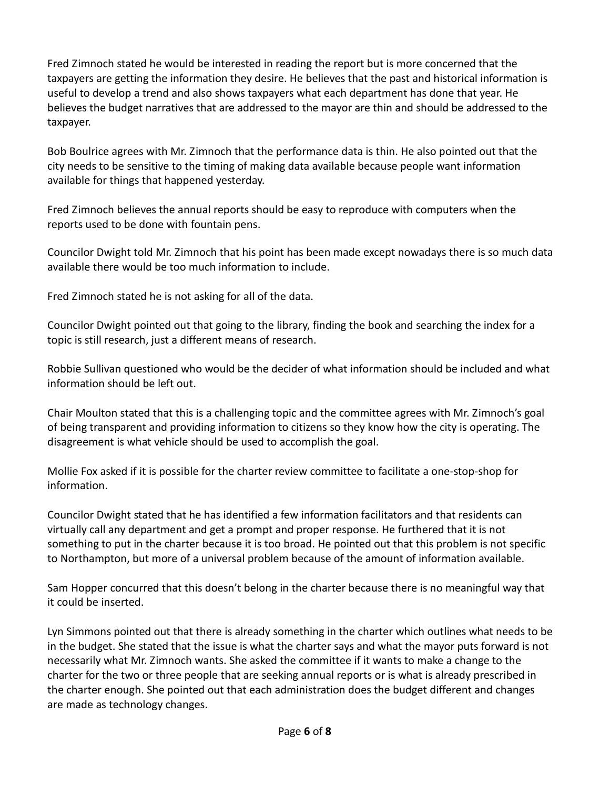Fred Zimnoch stated he would be interested in reading the report but is more concerned that the taxpayers are getting the information they desire. He believes that the past and historical information is useful to develop a trend and also shows taxpayers what each department has done that year. He believes the budget narratives that are addressed to the mayor are thin and should be addressed to the taxpayer.

Bob Boulrice agrees with Mr. Zimnoch that the performance data is thin. He also pointed out that the city needs to be sensitive to the timing of making data available because people want information available for things that happened yesterday.

Fred Zimnoch believes the annual reports should be easy to reproduce with computers when the reports used to be done with fountain pens.

Councilor Dwight told Mr. Zimnoch that his point has been made except nowadays there is so much data available there would be too much information to include.

Fred Zimnoch stated he is not asking for all of the data.

Councilor Dwight pointed out that going to the library, finding the book and searching the index for a topic is still research, just a different means of research.

Robbie Sullivan questioned who would be the decider of what information should be included and what information should be left out.

Chair Moulton stated that this is a challenging topic and the committee agrees with Mr. Zimnoch's goal of being transparent and providing information to citizens so they know how the city is operating. The disagreement is what vehicle should be used to accomplish the goal.

Mollie Fox asked if it is possible for the charter review committee to facilitate a one-stop-shop for information.

Councilor Dwight stated that he has identified a few information facilitators and that residents can virtually call any department and get a prompt and proper response. He furthered that it is not something to put in the charter because it is too broad. He pointed out that this problem is not specific to Northampton, but more of a universal problem because of the amount of information available.

Sam Hopper concurred that this doesn't belong in the charter because there is no meaningful way that it could be inserted.

Lyn Simmons pointed out that there is already something in the charter which outlines what needs to be in the budget. She stated that the issue is what the charter says and what the mayor puts forward is not necessarily what Mr. Zimnoch wants. She asked the committee if it wants to make a change to the charter for the two or three people that are seeking annual reports or is what is already prescribed in the charter enough. She pointed out that each administration does the budget different and changes are made as technology changes.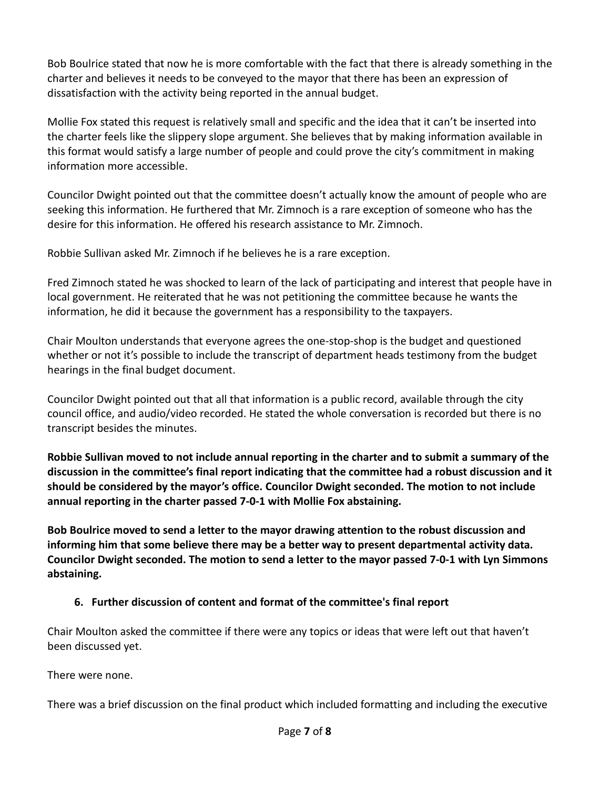Bob Boulrice stated that now he is more comfortable with the fact that there is already something in the charter and believes it needs to be conveyed to the mayor that there has been an expression of dissatisfaction with the activity being reported in the annual budget.

Mollie Fox stated this request is relatively small and specific and the idea that it can't be inserted into the charter feels like the slippery slope argument. She believes that by making information available in this format would satisfy a large number of people and could prove the city's commitment in making information more accessible.

Councilor Dwight pointed out that the committee doesn't actually know the amount of people who are seeking this information. He furthered that Mr. Zimnoch is a rare exception of someone who has the desire for this information. He offered his research assistance to Mr. Zimnoch.

Robbie Sullivan asked Mr. Zimnoch if he believes he is a rare exception.

Fred Zimnoch stated he was shocked to learn of the lack of participating and interest that people have in local government. He reiterated that he was not petitioning the committee because he wants the information, he did it because the government has a responsibility to the taxpayers.

Chair Moulton understands that everyone agrees the one-stop-shop is the budget and questioned whether or not it's possible to include the transcript of department heads testimony from the budget hearings in the final budget document.

Councilor Dwight pointed out that all that information is a public record, available through the city council office, and audio/video recorded. He stated the whole conversation is recorded but there is no transcript besides the minutes.

**Robbie Sullivan moved to not include annual reporting in the charter and to submit a summary of the discussion in the committee's final report indicating that the committee had a robust discussion and it should be considered by the mayor's office. Councilor Dwight seconded. The motion to not include annual reporting in the charter passed 7-0-1 with Mollie Fox abstaining.** 

**Bob Boulrice moved to send a letter to the mayor drawing attention to the robust discussion and informing him that some believe there may be a better way to present departmental activity data. Councilor Dwight seconded. The motion to send a letter to the mayor passed 7-0-1 with Lyn Simmons abstaining.**

#### **6. Further discussion of content and format of the committee's final report**

Chair Moulton asked the committee if there were any topics or ideas that were left out that haven't been discussed yet.

There were none.

There was a brief discussion on the final product which included formatting and including the executive